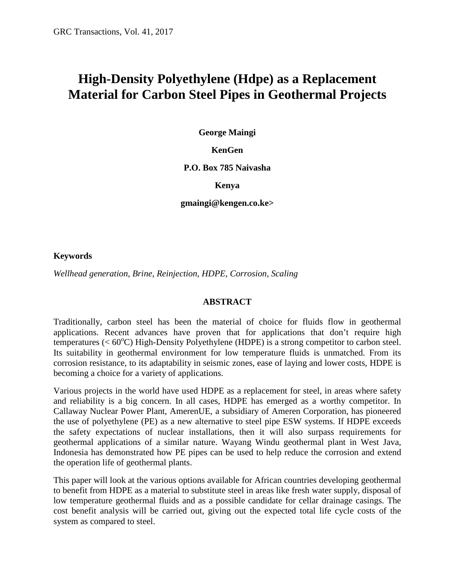# **High-Density Polyethylene (Hdpe) as a Replacement Material for Carbon Steel Pipes in Geothermal Projects**

**George Maingi**

#### **KenGen**

#### **P.O. Box 785 Naivasha**

#### **Kenya**

#### **gmaingi@kengen.co.ke>**

#### **Keywords**

*Wellhead generation, Brine, Reinjection, HDPE, Corrosion, Scaling*

#### **ABSTRACT**

Traditionally, carbon steel has been the material of choice for fluids flow in geothermal applications. Recent advances have proven that for applications that don't require high temperatures ( $< 60^{\circ}$ C) High-Density Polyethylene (HDPE) is a strong competitor to carbon steel. Its suitability in geothermal environment for low temperature fluids is unmatched. From its corrosion resistance, to its adaptability in seismic zones, ease of laying and lower costs, HDPE is becoming a choice for a variety of applications.

Various projects in the world have used HDPE as a replacement for steel, in areas where safety and reliability is a big concern. In all cases, HDPE has emerged as a worthy competitor. In Callaway Nuclear Power Plant, AmerenUE, a subsidiary of Ameren Corporation, has pioneered the use of polyethylene (PE) as a new alternative to steel pipe ESW systems. If HDPE exceeds the safety expectations of nuclear installations, then it will also surpass requirements for geothermal applications of a similar nature. Wayang Windu geothermal plant in West Java, Indonesia has demonstrated how PE pipes can be used to help reduce the corrosion and extend the operation life of geothermal plants.

This paper will look at the various options available for African countries developing geothermal to benefit from HDPE as a material to substitute steel in areas like fresh water supply, disposal of low temperature geothermal fluids and as a possible candidate for cellar drainage casings. The cost benefit analysis will be carried out, giving out the expected total life cycle costs of the system as compared to steel.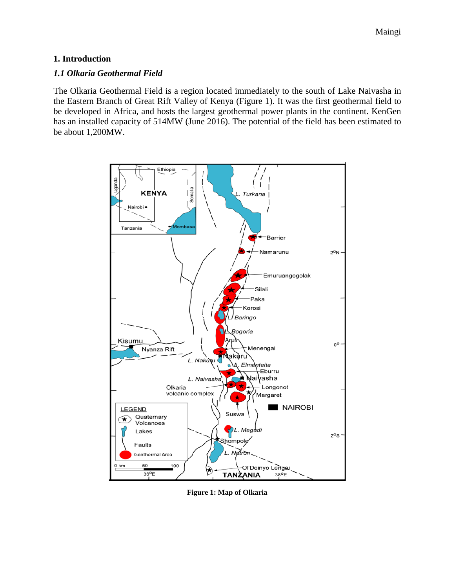### **1. Introduction**

#### *1.1 Olkaria Geothermal Field*

The Olkaria Geothermal Field is a region located immediately to the south of Lake Naivasha in the Eastern Branch of Great Rift Valley of Kenya (Figure 1). It was the first geothermal field to be developed in Africa, and hosts the largest geothermal power plants in the continent. KenGen has an installed capacity of 514MW (June 2016). The potential of the field has been estimated to be about 1,200MW.



**Figure 1: Map of Olkaria**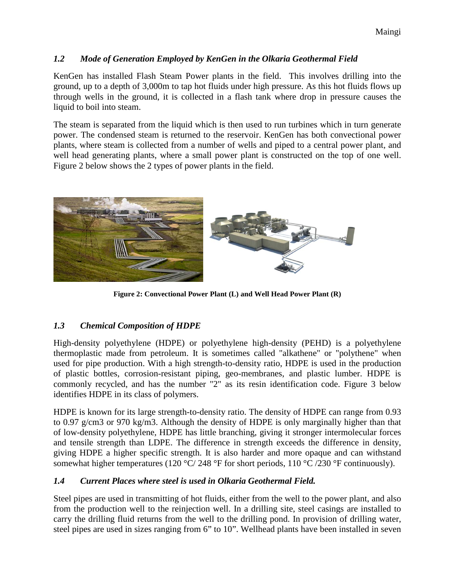## *1.2 Mode of Generation Employed by KenGen in the Olkaria Geothermal Field*

KenGen has installed Flash Steam Power plants in the field. This involves drilling into the ground, up to a depth of 3,000m to tap hot fluids under high pressure. As this hot fluids flows up through wells in the ground, it is collected in a flash tank where drop in pressure causes the liquid to boil into steam.

The steam is separated from the liquid which is then used to run turbines which in turn generate power. The condensed steam is returned to the reservoir. KenGen has both convectional power plants, where steam is collected from a number of wells and piped to a central power plant, and well head generating plants, where a small power plant is constructed on the top of one well. Figure 2 below shows the 2 types of power plants in the field.



**Figure 2: Convectional Power Plant (L) and Well Head Power Plant (R)**

# *1.3 Chemical Composition of HDPE*

High-density polyethylene (HDPE) or polyethylene high-density (PEHD) is a polyethylene thermoplastic made from petroleum. It is sometimes called "alkathene" or "polythene" when used for pipe production. With a high strength-to-density ratio, HDPE is used in the production of plastic bottles, corrosion-resistant piping, geo-membranes, and plastic lumber. HDPE is commonly recycled, and has the number "2" as its resin identification code. Figure 3 below identifies HDPE in its class of polymers.

HDPE is known for its large strength-to-density ratio. The density of HDPE can range from 0.93 to 0.97 g/cm3 or 970 kg/m3. Although the density of HDPE is only marginally higher than that of low-density polyethylene, HDPE has little branching, giving it stronger intermolecular forces and tensile strength than LDPE. The difference in strength exceeds the difference in density, giving HDPE a higher specific strength. It is also harder and more opaque and can withstand somewhat higher temperatures (120 °C/ 248 °F for short periods, 110 °C/230 °F continuously).

# *1.4 Current Places where steel is used in Olkaria Geothermal Field.*

Steel pipes are used in transmitting of hot fluids, either from the well to the power plant, and also from the production well to the reinjection well. In a drilling site, steel casings are installed to carry the drilling fluid returns from the well to the drilling pond. In provision of drilling water, steel pipes are used in sizes ranging from 6" to 10". Wellhead plants have been installed in seven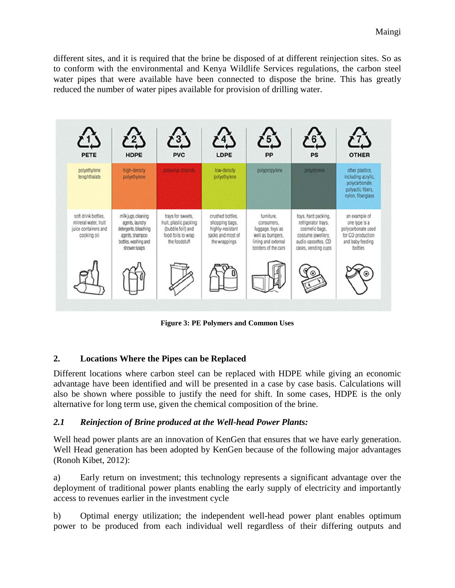different sites, and it is required that the brine be disposed of at different reinjection sites. So as to conform with the environmental and Kenya Wildlife Services regulations, the carbon steel water pipes that were available have been connected to dispose the brine. This has greatly reduced the number of water pipes available for provision of drilling water.



**Figure 3: PE Polymers and Common Uses**

# **2. Locations Where the Pipes can be Replaced**

Different locations where carbon steel can be replaced with HDPE while giving an economic advantage have been identified and will be presented in a case by case basis. Calculations will also be shown where possible to justify the need for shift. In some cases, HDPE is the only alternative for long term use, given the chemical composition of the brine.

### *2.1 Reinjection of Brine produced at the Well-head Power Plants:*

Well head power plants are an innovation of KenGen that ensures that we have early generation. Well Head generation has been adopted by KenGen because of the following major advantages (Ronoh Kibet, 2012):

a) Early return on investment; this technology represents a significant advantage over the deployment of traditional power plants enabling the early supply of electricity and importantly access to revenues earlier in the investment cycle

b) Optimal energy utilization; the independent well-head power plant enables optimum power to be produced from each individual well regardless of their differing outputs and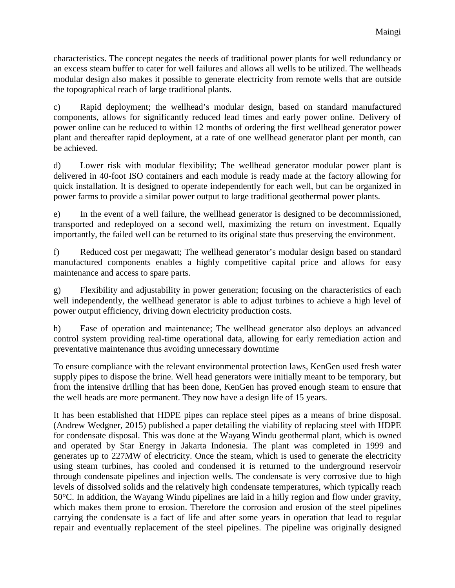characteristics. The concept negates the needs of traditional power plants for well redundancy or an excess steam buffer to cater for well failures and allows all wells to be utilized. The wellheads modular design also makes it possible to generate electricity from remote wells that are outside the topographical reach of large traditional plants.

c) Rapid deployment; the wellhead's modular design, based on standard manufactured components, allows for significantly reduced lead times and early power online. Delivery of power online can be reduced to within 12 months of ordering the first wellhead generator power plant and thereafter rapid deployment, at a rate of one wellhead generator plant per month, can be achieved.

d) Lower risk with modular flexibility; The wellhead generator modular power plant is delivered in 40-foot ISO containers and each module is ready made at the factory allowing for quick installation. It is designed to operate independently for each well, but can be organized in power farms to provide a similar power output to large traditional geothermal power plants.

e) In the event of a well failure, the wellhead generator is designed to be decommissioned, transported and redeployed on a second well, maximizing the return on investment. Equally importantly, the failed well can be returned to its original state thus preserving the environment.

f) Reduced cost per megawatt; The wellhead generator's modular design based on standard manufactured components enables a highly competitive capital price and allows for easy maintenance and access to spare parts.

g) Flexibility and adjustability in power generation; focusing on the characteristics of each well independently, the wellhead generator is able to adjust turbines to achieve a high level of power output efficiency, driving down electricity production costs.

h) Ease of operation and maintenance; The wellhead generator also deploys an advanced control system providing real-time operational data, allowing for early remediation action and preventative maintenance thus avoiding unnecessary downtime

To ensure compliance with the relevant environmental protection laws, KenGen used fresh water supply pipes to dispose the brine. Well head generators were initially meant to be temporary, but from the intensive drilling that has been done, KenGen has proved enough steam to ensure that the well heads are more permanent. They now have a design life of 15 years.

It has been established that HDPE pipes can replace steel pipes as a means of brine disposal. (Andrew Wedgner, 2015) published a paper detailing the viability of replacing steel with HDPE for condensate disposal. This was done at the Wayang Windu geothermal plant, which is owned and operated by Star Energy in Jakarta Indonesia. The plant was completed in 1999 and generates up to 227MW of electricity. Once the steam, which is used to generate the electricity using steam turbines, has cooled and condensed it is returned to the underground reservoir through condensate pipelines and injection wells. The condensate is very corrosive due to high levels of dissolved solids and the relatively high condensate temperatures, which typically reach 50°C. In addition, the Wayang Windu pipelines are laid in a hilly region and flow under gravity, which makes them prone to erosion. Therefore the corrosion and erosion of the steel pipelines carrying the condensate is a fact of life and after some years in operation that lead to regular repair and eventually replacement of the steel pipelines. The pipeline was originally designed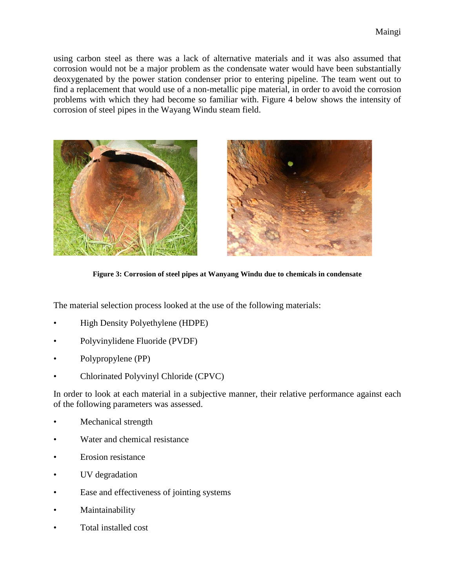using carbon steel as there was a lack of alternative materials and it was also assumed that corrosion would not be a major problem as the condensate water would have been substantially deoxygenated by the power station condenser prior to entering pipeline. The team went out to find a replacement that would use of a non-metallic pipe material, in order to avoid the corrosion problems with which they had become so familiar with. Figure 4 below shows the intensity of corrosion of steel pipes in the Wayang Windu steam field.





**Figure 3: Corrosion of steel pipes at Wanyang Windu due to chemicals in condensate**

The material selection process looked at the use of the following materials:

- High Density Polyethylene (HDPE)
- Polyvinylidene Fluoride (PVDF)
- Polypropylene (PP)
- Chlorinated Polyvinyl Chloride (CPVC)

In order to look at each material in a subjective manner, their relative performance against each of the following parameters was assessed.

- Mechanical strength
- Water and chemical resistance
- Erosion resistance
- UV degradation
- Ease and effectiveness of jointing systems
- **Maintainability**
- Total installed cost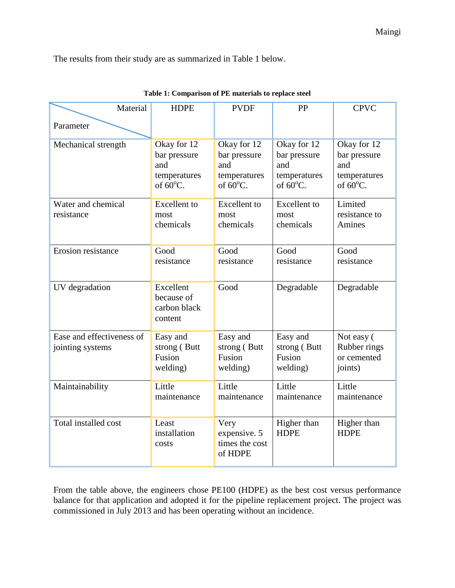The results from their study are as summarized in Table 1 below.

| Material                                      | <b>HDPE</b>                                                              | <b>PVDF</b>                                                              | PP                                                                       | <b>CPVC</b>                                                              |
|-----------------------------------------------|--------------------------------------------------------------------------|--------------------------------------------------------------------------|--------------------------------------------------------------------------|--------------------------------------------------------------------------|
| Parameter                                     |                                                                          |                                                                          |                                                                          |                                                                          |
| Mechanical strength                           | Okay for 12<br>bar pressure<br>and<br>temperatures<br>of $60^{\circ}$ C. | Okay for 12<br>bar pressure<br>and<br>temperatures<br>of $60^{\circ}$ C. | Okay for 12<br>bar pressure<br>and<br>temperatures<br>of $60^{\circ}$ C. | Okay for 12<br>bar pressure<br>and<br>temperatures<br>of $60^{\circ}$ C. |
| Water and chemical<br>resistance              | <b>Excellent</b> to<br>most<br>chemicals                                 | <b>Excellent</b> to<br>most<br>chemicals                                 | <b>Excellent</b> to<br>most<br>chemicals                                 | Limited<br>resistance to<br>Amines                                       |
| Erosion resistance                            | Good<br>resistance                                                       | Good<br>resistance                                                       | Good<br>resistance                                                       | Good<br>resistance                                                       |
| UV degradation                                | Excellent<br>because of<br>carbon black<br>content                       | Good                                                                     | Degradable                                                               | Degradable                                                               |
| Ease and effectiveness of<br>jointing systems | Easy and<br>strong (Butt<br>Fusion<br>welding)                           | Easy and<br>strong (Butt<br>Fusion<br>welding)                           | Easy and<br>strong (Butt<br>Fusion<br>welding)                           | Not easy (<br>Rubber rings<br>or cemented<br>joints)                     |
| Maintainability                               | Little<br>maintenance                                                    | Little<br>maintenance                                                    | Little<br>maintenance                                                    | Little<br>maintenance                                                    |
| Total installed cost                          | Least<br>installation<br>costs                                           | Very<br>expensive. 5<br>times the cost<br>of HDPE                        | Higher than<br><b>HDPE</b>                                               | Higher than<br><b>HDPE</b>                                               |

| Table 1: Comparison of PE materials to replace steel |  |  |
|------------------------------------------------------|--|--|
|------------------------------------------------------|--|--|

From the table above, the engineers chose PE100 (HDPE) as the best cost versus performance balance for that application and adopted it for the pipeline replacement project. The project was commissioned in July 2013 and has been operating without an incidence.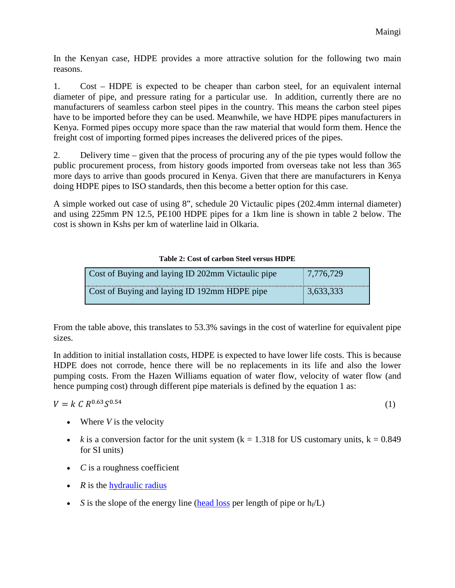In the Kenyan case, HDPE provides a more attractive solution for the following two main reasons.

1. Cost – HDPE is expected to be cheaper than carbon steel, for an equivalent internal diameter of pipe, and pressure rating for a particular use. In addition, currently there are no manufacturers of seamless carbon steel pipes in the country. This means the carbon steel pipes have to be imported before they can be used. Meanwhile, we have HDPE pipes manufacturers in Kenya. Formed pipes occupy more space than the raw material that would form them. Hence the freight cost of importing formed pipes increases the delivered prices of the pipes.

2. Delivery time – given that the process of procuring any of the pie types would follow the public procurement process, from history goods imported from overseas take not less than 365 more days to arrive than goods procured in Kenya. Given that there are manufacturers in Kenya doing HDPE pipes to ISO standards, then this become a better option for this case.

A simple worked out case of using 8", schedule 20 Victaulic pipes (202.4mm internal diameter) and using 225mm PN 12.5, PE100 HDPE pipes for a 1km line is shown in table 2 below. The cost is shown in Kshs per km of waterline laid in Olkaria.

### **Table 2: Cost of carbon Steel versus HDPE**

| Cost of Buying and laying ID 202mm Victaulic pipe | 7,776,729 |
|---------------------------------------------------|-----------|
| Cost of Buying and laying ID 192mm HDPE pipe      | 3,633,333 |

From the table above, this translates to 53.3% savings in the cost of waterline for equivalent pipe sizes.

In addition to initial installation costs, HDPE is expected to have lower life costs. This is because HDPE does not corrode, hence there will be no replacements in its life and also the lower pumping costs. From the Hazen Williams equation of water flow, velocity of water flow (and hence pumping cost) through different pipe materials is defined by the equation 1 as:

 $V = k \, C \, R^{0.63} S^{0.54}$  (1)

- Where *V* is the velocity
- *k* is a conversion factor for the unit system  $(k = 1.318$  for US customary units,  $k = 0.849$ for SI units)
- *C* is a roughness coefficient
- *R* is the [hydraulic radius](https://en.wikipedia.org/wiki/Hydraulic_radius)
- *S* is the slope of the energy line [\(head loss](https://en.wikipedia.org/wiki/Head_loss) per length of pipe or  $h_f(L)$ )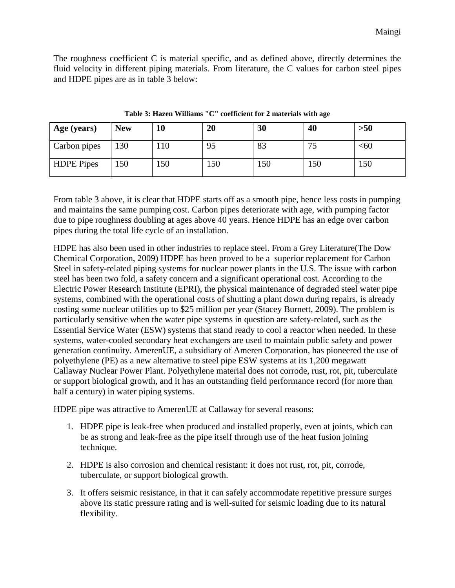The roughness coefficient C is material specific, and as defined above, directly determines the fluid velocity in different piping materials. From literature, the C values for carbon steel pipes and HDPE pipes are as in table 3 below:

| Age (years)       | <b>New</b> | 10  | 20  | 30  | 40                            | $>50$  |
|-------------------|------------|-----|-----|-----|-------------------------------|--------|
| Carbon pipes      | 130        | 10  | 95  | 83  | $\overline{\phantom{a}}$<br>ت | $<$ 60 |
| <b>HDPE</b> Pipes | 150        | .50 | 150 | 150 | 150                           | 150    |

**Table 3: Hazen Williams "C" coefficient for 2 materials with age**

From table 3 above, it is clear that HDPE starts off as a smooth pipe, hence less costs in pumping and maintains the same pumping cost. Carbon pipes deteriorate with age, with pumping factor due to pipe roughness doubling at ages above 40 years. Hence HDPE has an edge over carbon pipes during the total life cycle of an installation.

HDPE has also been used in other industries to replace steel. From a Grey Literature(The Dow Chemical Corporation, 2009) HDPE has been proved to be a superior replacement for Carbon Steel in safety-related piping systems for nuclear power plants in the U.S. The issue with carbon steel has been two fold, a safety concern and a significant operational cost. According to the Electric Power Research Institute (EPRI), the physical maintenance of degraded steel water pipe systems, combined with the operational costs of shutting a plant down during repairs, is already costing some nuclear utilities up to \$25 million per year (Stacey Burnett, 2009). The problem is particularly sensitive when the water pipe systems in question are safety-related, such as the Essential Service Water (ESW) systems that stand ready to cool a reactor when needed. In these systems, water-cooled secondary heat exchangers are used to maintain public safety and power generation continuity. AmerenUE, a subsidiary of Ameren Corporation, has pioneered the use of polyethylene (PE) as a new alternative to steel pipe ESW systems at its 1,200 megawatt Callaway Nuclear Power Plant. Polyethylene material does not corrode, rust, rot, pit, tuberculate or support biological growth, and it has an outstanding field performance record (for more than half a century) in water piping systems.

HDPE pipe was attractive to AmerenUE at Callaway for several reasons:

- 1. HDPE pipe is leak-free when produced and installed properly, even at joints, which can be as strong and leak-free as the pipe itself through use of the heat fusion joining technique.
- 2. HDPE is also corrosion and chemical resistant: it does not rust, rot, pit, corrode, tuberculate, or support biological growth.
- 3. It offers seismic resistance, in that it can safely accommodate repetitive pressure surges above its static pressure rating and is well-suited for seismic loading due to its natural flexibility.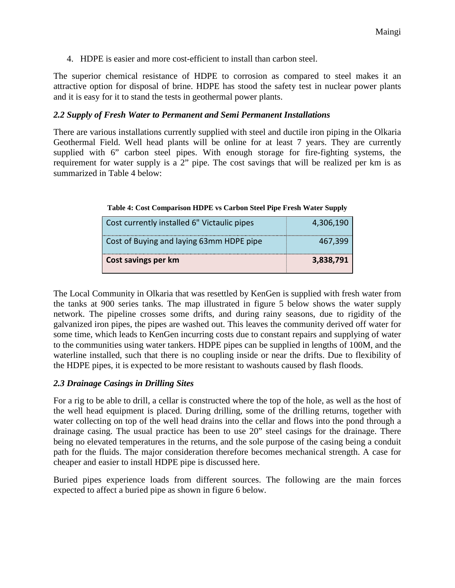4. HDPE is easier and more cost-efficient to install than carbon steel.

The superior chemical resistance of HDPE to corrosion as compared to steel makes it an attractive option for disposal of brine. HDPE has stood the safety test in nuclear power plants and it is easy for it to stand the tests in geothermal power plants.

### *2.2 Supply of Fresh Water to Permanent and Semi Permanent Installations*

There are various installations currently supplied with steel and ductile iron piping in the Olkaria Geothermal Field. Well head plants will be online for at least 7 years. They are currently supplied with 6" carbon steel pipes. With enough storage for fire-fighting systems, the requirement for water supply is a 2" pipe. The cost savings that will be realized per km is as summarized in Table 4 below:

| Table 4: Cost Comparison HDPE vs Carbon Steel Pipe Fresh Water Supply |  |  |  |  |  |  |  |
|-----------------------------------------------------------------------|--|--|--|--|--|--|--|
|-----------------------------------------------------------------------|--|--|--|--|--|--|--|

| Cost currently installed 6" Victaulic pipes | 4,306,190 |
|---------------------------------------------|-----------|
| Cost of Buying and laying 63mm HDPE pipe    | 467,399   |
| Cost savings per km                         | 3,838,791 |

The Local Community in Olkaria that was resettled by KenGen is supplied with fresh water from the tanks at 900 series tanks. The map illustrated in figure 5 below shows the water supply network. The pipeline crosses some drifts, and during rainy seasons, due to rigidity of the galvanized iron pipes, the pipes are washed out. This leaves the community derived off water for some time, which leads to KenGen incurring costs due to constant repairs and supplying of water to the communities using water tankers. HDPE pipes can be supplied in lengths of 100M, and the waterline installed, such that there is no coupling inside or near the drifts. Due to flexibility of the HDPE pipes, it is expected to be more resistant to washouts caused by flash floods.

#### *2.3 Drainage Casings in Drilling Sites*

For a rig to be able to drill, a cellar is constructed where the top of the hole, as well as the host of the well head equipment is placed. During drilling, some of the drilling returns, together with water collecting on top of the well head drains into the cellar and flows into the pond through a drainage casing. The usual practice has been to use 20" steel casings for the drainage. There being no elevated temperatures in the returns, and the sole purpose of the casing being a conduit path for the fluids. The major consideration therefore becomes mechanical strength. A case for cheaper and easier to install HDPE pipe is discussed here.

Buried pipes experience loads from different sources. The following are the main forces expected to affect a buried pipe as shown in figure 6 below.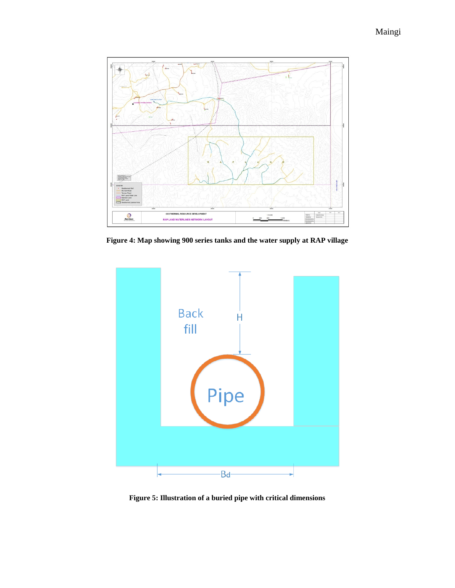

**Figure 4: Map showing 900 series tanks and the water supply at RAP village**



**Figure 5: Illustration of a buried pipe with critical dimensions**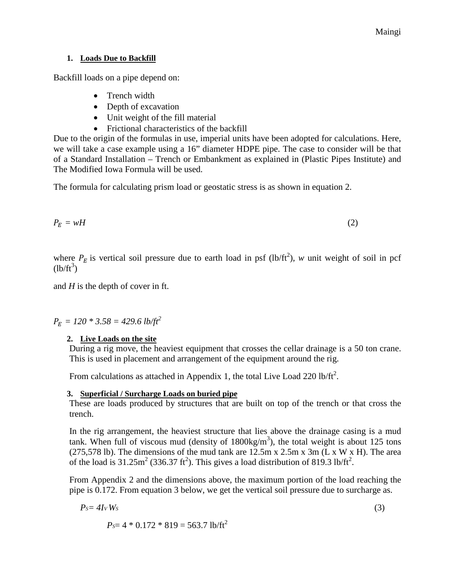#### **1. Loads Due to Backfill**

Backfill loads on a pipe depend on:

- Trench width
- Depth of excavation
- Unit weight of the fill material
- Frictional characteristics of the backfill

Due to the origin of the formulas in use, imperial units have been adopted for calculations. Here, we will take a case example using a 16" diameter HDPE pipe. The case to consider will be that of a Standard Installation – Trench or Embankment as explained in (Plastic Pipes Institute) and The Modified Iowa Formula will be used.

The formula for calculating prism load or geostatic stress is as shown in equation 2.

$$
P_E = wH \tag{2}
$$

where  $P_E$  is vertical soil pressure due to earth load in psf (lb/ft<sup>2</sup>), *w* unit weight of soil in pcf  $(lb/ft^3)$ 

and *H* is the depth of cover in ft.

 $P_E = 120 * 3.58 = 429.6$  *lb*/ft<sup>2</sup>

### **2. Live Loads on the site**

During a rig move, the heaviest equipment that crosses the cellar drainage is a 50 ton crane. This is used in placement and arrangement of the equipment around the rig.

From calculations as attached in Appendix 1, the total Live Load 220 lb/ft<sup>2</sup>.

#### **3. Superficial / Surcharge Loads on buried pipe**

These are loads produced by structures that are built on top of the trench or that cross the trench.

In the rig arrangement, the heaviest structure that lies above the drainage casing is a mud tank. When full of viscous mud (density of  $1800 \text{kg/m}^3$ ), the total weight is about 125 tons (275,578 lb). The dimensions of the mud tank are  $12.5m \times 2.5m \times 3m$  (L x W x H). The area of the load is  $31.25 \text{m}^2$  (336.37 ft<sup>2</sup>). This gives a load distribution of 819.3 lb/ft<sup>2</sup>.

From Appendix 2 and the dimensions above, the maximum portion of the load reaching the pipe is 0.172. From equation 3 below, we get the vertical soil pressure due to surcharge as.

$$
P_S = 4I_V W_S \tag{3}
$$

$$
P_{\rm S} = 4 * 0.172 * 819 = 563.7 \text{ lb/ft}^2
$$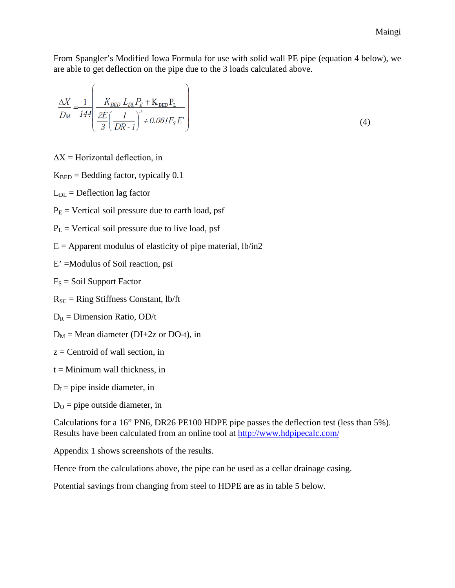From Spangler's Modified Iowa Formula for use with solid wall PE pipe (equation 4 below), we are able to get deflection on the pipe due to the 3 loads calculated above.

$$
\frac{\Delta X}{D_M} = \frac{1}{144} \left( \frac{K_{BED} L_{DL} P_E + K_{BED} P_L}{\frac{2E}{3} \left( \frac{I}{DR - I} \right)^3 + 0.061 F_S E'} \right)
$$
(4)

 $\Delta X$  = Horizontal deflection, in

 $K<sub>BED</sub> = Bedding factor, typically 0.1$ 

 $L_{DL}$  = Deflection lag factor

 $P<sub>E</sub>$  = Vertical soil pressure due to earth load, psf

 $P_L$  = Vertical soil pressure due to live load, psf

 $E =$  Apparent modulus of elasticity of pipe material, lb/in2

E' =Modulus of Soil reaction, psi

 $F_S =$  Soil Support Factor

 $R_{SC}$  = Ring Stiffness Constant, lb/ft

 $D_R =$  Dimension Ratio, OD/t

 $D_M$  = Mean diameter (DI+2z or DO-t), in

 $z =$ Centroid of wall section, in

 $t =$ Minimum wall thickness, in

 $D<sub>I</sub>$  = pipe inside diameter, in

 $D<sub>O</sub>$  = pipe outside diameter, in

Calculations for a 16" PN6, DR26 PE100 HDPE pipe passes the deflection test (less than 5%). Results have been calculated from an online tool at<http://www.hdpipecalc.com/>

Appendix 1 shows screenshots of the results.

Hence from the calculations above, the pipe can be used as a cellar drainage casing.

Potential savings from changing from steel to HDPE are as in table 5 below.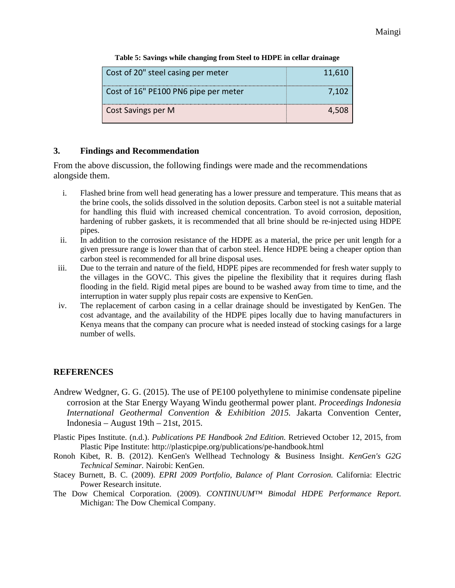| Cost of 20" steel casing per meter   | 11,610 |
|--------------------------------------|--------|
| Cost of 16" PE100 PN6 pipe per meter | 7.102  |
| Cost Savings per M                   | 4.508  |

**Table 5: Savings while changing from Steel to HDPE in cellar drainage**

### **3. Findings and Recommendation**

From the above discussion, the following findings were made and the recommendations alongside them.

- i. Flashed brine from well head generating has a lower pressure and temperature. This means that as the brine cools, the solids dissolved in the solution deposits. Carbon steel is not a suitable material for handling this fluid with increased chemical concentration. To avoid corrosion, deposition, hardening of rubber gaskets, it is recommended that all brine should be re-injected using HDPE pipes.
- ii. In addition to the corrosion resistance of the HDPE as a material, the price per unit length for a given pressure range is lower than that of carbon steel. Hence HDPE being a cheaper option than carbon steel is recommended for all brine disposal uses.
- iii. Due to the terrain and nature of the field, HDPE pipes are recommended for fresh water supply to the villages in the GOVC. This gives the pipeline the flexibility that it requires during flash flooding in the field. Rigid metal pipes are bound to be washed away from time to time, and the interruption in water supply plus repair costs are expensive to KenGen.
- iv. The replacement of carbon casing in a cellar drainage should be investigated by KenGen. The cost advantage, and the availability of the HDPE pipes locally due to having manufacturers in Kenya means that the company can procure what is needed instead of stocking casings for a large number of wells.

# **REFERENCES**

- Andrew Wedgner, G. G. (2015). The use of PE100 polyethylene to minimise condensate pipeline corrosion at the Star Energy Wayang Windu geothermal power plant. *Proceedings Indonesia International Geothermal Convention & Exhibition 2015.* Jakarta Convention Center, Indonesia – August 19th – 21st, 2015.
- Plastic Pipes Institute. (n.d.). *Publications PE Handbook 2nd Edition.* Retrieved October 12, 2015, from Plastic Pipe Institute: http://plasticpipe.org/publications/pe-handbook.html
- Ronoh Kibet, R. B. (2012). KenGen's Wellhead Technology & Business Insight. *KenGen's G2G Technical Seminar.* Nairobi: KenGen.
- Stacey Burnett, B. C. (2009). *EPRI 2009 Portfolio, Balance of Plant Corrosion.* California: Electric Power Research insitute.
- The Dow Chemical Corporation. (2009). *CONTINUUM™ Bimodal HDPE Performance Report.* Michigan: The Dow Chemical Company.